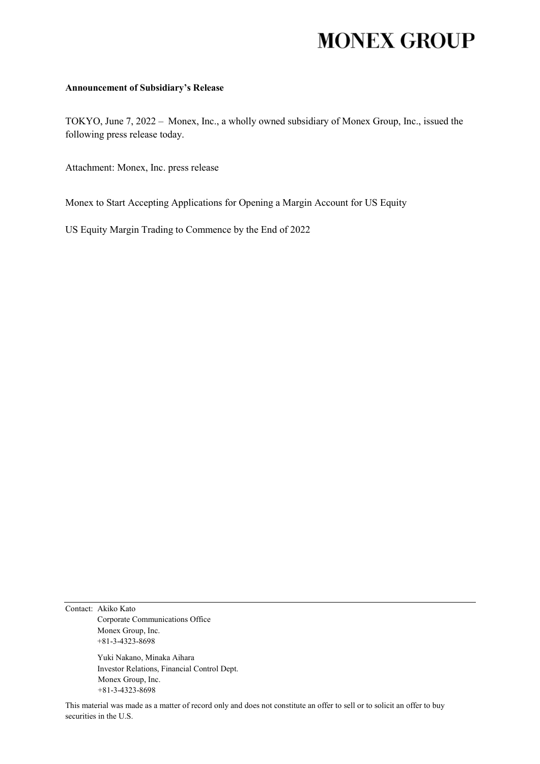## **MONEX GROUP**

## **Announcement of Subsidiary's Release**

TOKYO, June 7, 2022 – Monex, Inc., a wholly owned subsidiary of Monex Group, Inc., issued the following press release today.

Attachment: Monex, Inc. press release

Monex to Start Accepting Applications for Opening a Margin Account for US Equity

US Equity Margin Trading to Commence by the End of 2022

Contact: Akiko Kato Corporate Communications Office Monex Group, Inc. +81-3-4323-8698

> Yuki Nakano, Minaka Aihara Investor Relations, Financial Control Dept. Monex Group, Inc. +81-3-4323-8698

This material was made as a matter of record only and does not constitute an offer to sell or to solicit an offer to buy securities in the U.S.